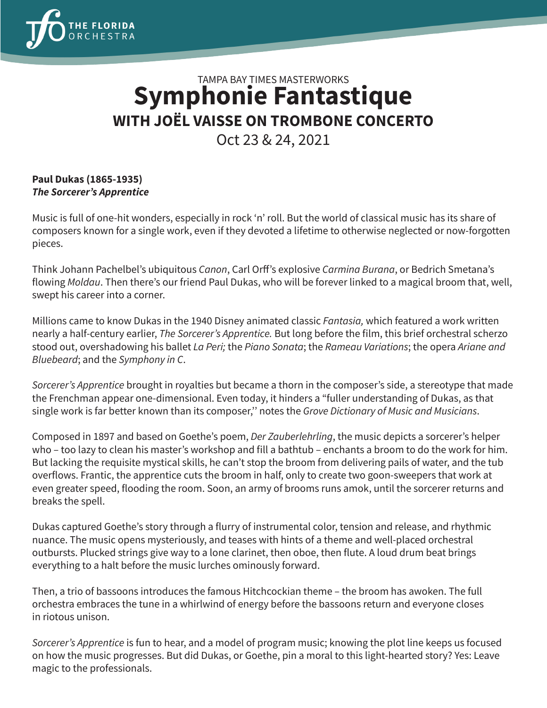

## TAMPA BAY TIMES MASTERWORKS **Symphonie Fantastique WITH JOËL VAISSE ON TROMBONE CONCERTO**

Oct 23 & 24, 2021

## **Paul Dukas (1865-1935)** *The Sorcerer's Apprentice*

Music is full of one-hit wonders, especially in rock 'n' roll. But the world of classical music has its share of composers known for a single work, even if they devoted a lifetime to otherwise neglected or now-forgotten pieces.

Think Johann Pachelbel's ubiquitous *Canon*, Carl Orff's explosive *Carmina Burana*, or Bedrich Smetana's flowing *Moldau*. Then there's our friend Paul Dukas, who will be forever linked to a magical broom that, well, swept his career into a corner.

Millions came to know Dukas in the 1940 Disney animated classic *Fantasia,* which featured a work written nearly a half-century earlier, *The Sorcerer's Apprentice.* But long before the film, this brief orchestral scherzo stood out, overshadowing his ballet *La Peri;* the *Piano Sonata*; the *Rameau Variations*; the opera *Ariane and Bluebeard*; and the *Symphony in C*.

*Sorcerer's Apprentice* brought in royalties but became a thorn in the composer's side, a stereotype that made the Frenchman appear one-dimensional. Even today, it hinders a "fuller understanding of Dukas, as that single work is far better known than its composer,'' notes the *Grove Dictionary of Music and Musicians*.

Composed in 1897 and based on Goethe's poem, *Der Zauberlehrling*, the music depicts a sorcerer's helper who – too lazy to clean his master's workshop and fill a bathtub – enchants a broom to do the work for him. But lacking the requisite mystical skills, he can't stop the broom from delivering pails of water, and the tub overflows. Frantic, the apprentice cuts the broom in half, only to create two goon-sweepers that work at even greater speed, flooding the room. Soon, an army of brooms runs amok, until the sorcerer returns and breaks the spell.

Dukas captured Goethe's story through a flurry of instrumental color, tension and release, and rhythmic nuance. The music opens mysteriously, and teases with hints of a theme and well-placed orchestral outbursts. Plucked strings give way to a lone clarinet, then oboe, then flute. A loud drum beat brings everything to a halt before the music lurches ominously forward.

Then, a trio of bassoons introduces the famous Hitchcockian theme – the broom has awoken. The full orchestra embraces the tune in a whirlwind of energy before the bassoons return and everyone closes in riotous unison.

*Sorcerer's Apprentice* is fun to hear, and a model of program music; knowing the plot line keeps us focused on how the music progresses. But did Dukas, or Goethe, pin a moral to this light-hearted story? Yes: Leave magic to the professionals.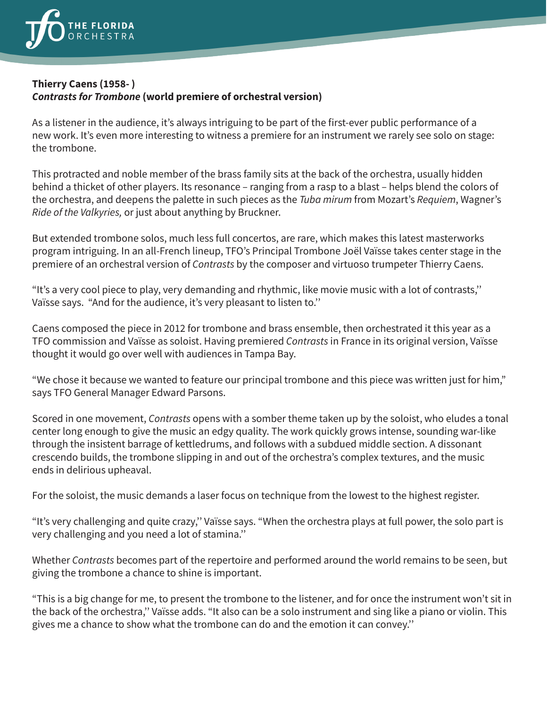

## **Thierry Caens (1958- )** *Contrasts for Trombone* **(world premiere of orchestral version)**

As a listener in the audience, it's always intriguing to be part of the first-ever public performance of a new work. It's even more interesting to witness a premiere for an instrument we rarely see solo on stage: the trombone.

This protracted and noble member of the brass family sits at the back of the orchestra, usually hidden behind a thicket of other players. Its resonance – ranging from a rasp to a blast – helps blend the colors of the orchestra, and deepens the palette in such pieces as the *Tuba mirum* from Mozart's *Requiem*, Wagner's *Ride of the Valkyries,* or just about anything by Bruckner.

But extended trombone solos, much less full concertos, are rare, which makes this latest masterworks program intriguing. In an all-French lineup, TFO's Principal Trombone Joël Vaïsse takes center stage in the premiere of an orchestral version of *Contrasts* by the composer and virtuoso trumpeter Thierry Caens.

"It's a very cool piece to play, very demanding and rhythmic, like movie music with a lot of contrasts,'' Vaïsse says. "And for the audience, it's very pleasant to listen to.''

Caens composed the piece in 2012 for trombone and brass ensemble, then orchestrated it this year as a TFO commission and Vaïsse as soloist. Having premiered *Contrasts* in France in its original version, Vaïsse thought it would go over well with audiences in Tampa Bay.

"We chose it because we wanted to feature our principal trombone and this piece was written just for him," says TFO General Manager Edward Parsons.

Scored in one movement, *Contrasts* opens with a somber theme taken up by the soloist, who eludes a tonal center long enough to give the music an edgy quality. The work quickly grows intense, sounding war-like through the insistent barrage of kettledrums, and follows with a subdued middle section. A dissonant crescendo builds, the trombone slipping in and out of the orchestra's complex textures, and the music ends in delirious upheaval.

For the soloist, the music demands a laser focus on technique from the lowest to the highest register.

"It's very challenging and quite crazy,'' Vaïsse says. "When the orchestra plays at full power, the solo part is very challenging and you need a lot of stamina.''

Whether *Contrasts* becomes part of the repertoire and performed around the world remains to be seen, but giving the trombone a chance to shine is important.

"This is a big change for me, to present the trombone to the listener, and for once the instrument won't sit in the back of the orchestra,'' Vaïsse adds. "It also can be a solo instrument and sing like a piano or violin. This gives me a chance to show what the trombone can do and the emotion it can convey.''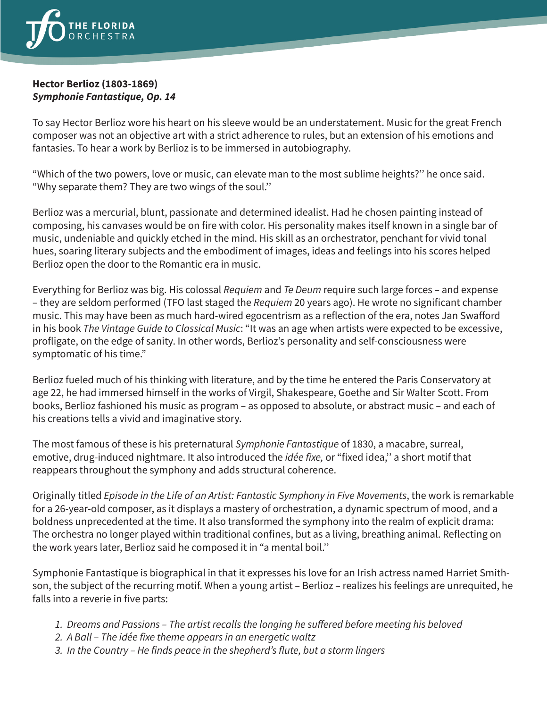

## **Hector Berlioz (1803-1869)** *Symphonie Fantastique, Op. 14*

To say Hector Berlioz wore his heart on his sleeve would be an understatement. Music for the great French composer was not an objective art with a strict adherence to rules, but an extension of his emotions and fantasies. To hear a work by Berlioz is to be immersed in autobiography.

"Which of the two powers, love or music, can elevate man to the most sublime heights?'' he once said. "Why separate them? They are two wings of the soul.''

Berlioz was a mercurial, blunt, passionate and determined idealist. Had he chosen painting instead of composing, his canvases would be on fire with color. His personality makes itself known in a single bar of music, undeniable and quickly etched in the mind. His skill as an orchestrator, penchant for vivid tonal hues, soaring literary subjects and the embodiment of images, ideas and feelings into his scores helped Berlioz open the door to the Romantic era in music.

Everything for Berlioz was big. His colossal *Requiem* and *Te Deum* require such large forces – and expense – they are seldom performed (TFO last staged the *Requiem* 20 years ago). He wrote no significant chamber music. This may have been as much hard-wired egocentrism as a reflection of the era, notes Jan Swafford in his book *The Vintage Guide to Classical Music*: "It was an age when artists were expected to be excessive, profligate, on the edge of sanity. In other words, Berlioz's personality and self-consciousness were symptomatic of his time."

Berlioz fueled much of his thinking with literature, and by the time he entered the Paris Conservatory at age 22, he had immersed himself in the works of Virgil, Shakespeare, Goethe and Sir Walter Scott. From books, Berlioz fashioned his music as program – as opposed to absolute, or abstract music – and each of his creations tells a vivid and imaginative story.

The most famous of these is his preternatural *Symphonie Fantastique* of 1830, a macabre, surreal, emotive, drug-induced nightmare. It also introduced the *idée fixe,* or "fixed idea,'' a short motif that reappears throughout the symphony and adds structural coherence.

Originally titled *Episode in the Life of an Artist: Fantastic Symphony in Five Movements*, the work is remarkable for a 26-year-old composer, as it displays a mastery of orchestration, a dynamic spectrum of mood, and a boldness unprecedented at the time. It also transformed the symphony into the realm of explicit drama: The orchestra no longer played within traditional confines, but as a living, breathing animal. Reflecting on the work years later, Berlioz said he composed it in "a mental boil.''

Symphonie Fantastique is biographical in that it expresses his love for an Irish actress named Harriet Smithson, the subject of the recurring motif. When a young artist – Berlioz – realizes his feelings are unrequited, he falls into a reverie in five parts:

- *1. Dreams and Passions The artist recalls the longing he suffered before meeting his beloved*
- *2. A Ball The idée fixe theme appears in an energetic waltz*
- *3. In the Country He finds peace in the shepherd's flute, but a storm lingers*